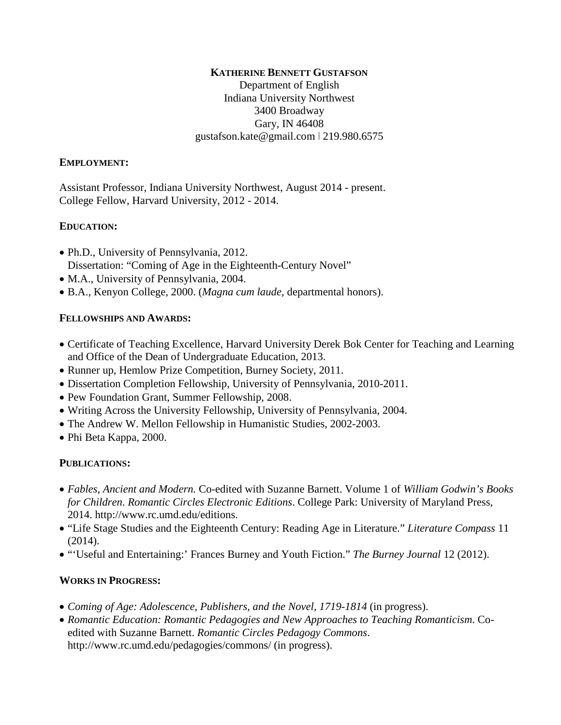#### **KATHERINE BENNETT GUSTAFSON**

Department of English Indiana University Northwest 3400 Broadway Gary, IN 46408 gustafson.kate@gmail.com ǀ 219.980.6575

#### **EMPLOYMENT:**

Assistant Professor, Indiana University Northwest, August 2014 - present. College Fellow, Harvard University, 2012 - 2014.

### **EDUCATION:**

- Ph.D., University of Pennsylvania, 2012. Dissertation: "Coming of Age in the Eighteenth-Century Novel"
- M.A., University of Pennsylvania, 2004.
- B.A., Kenyon College, 2000. (*Magna cum laude*, departmental honors).

### **FELLOWSHIPS AND AWARDS:**

- Certificate of Teaching Excellence, Harvard University Derek Bok Center for Teaching and Learning and Office of the Dean of Undergraduate Education, 2013.
- Runner up, Hemlow Prize Competition, Burney Society, 2011.
- Dissertation Completion Fellowship, University of Pennsylvania, 2010-2011.
- Pew Foundation Grant, Summer Fellowship, 2008.
- Writing Across the University Fellowship, University of Pennsylvania, 2004.
- The Andrew W. Mellon Fellowship in Humanistic Studies, 2002-2003.
- Phi Beta Kappa, 2000.

# **PUBLICATIONS:**

- *Fables, Ancient and Modern.* Co-edited with Suzanne Barnett. Volume 1 of *William Godwin's Books for Children*. *Romantic Circles Electronic Editions*. College Park: University of Maryland Press, 2014. http://www.rc.umd.edu/editions.
- "Life Stage Studies and the Eighteenth Century: Reading Age in Literature." *Literature Compass* 11 (2014).
- "'Useful and Entertaining:' Frances Burney and Youth Fiction." *The Burney Journal* 12 (2012).

#### **WORKS IN PROGRESS:**

- *Coming of Age: Adolescence, Publishers, and the Novel, 1719-1814* (in progress).
- *Romantic Education: Romantic Pedagogies and New Approaches to Teaching Romanticism*. Coedited with Suzanne Barnett. *Romantic Circles Pedagogy Commons*. http://www.rc.umd.edu/pedagogies/commons/ (in progress).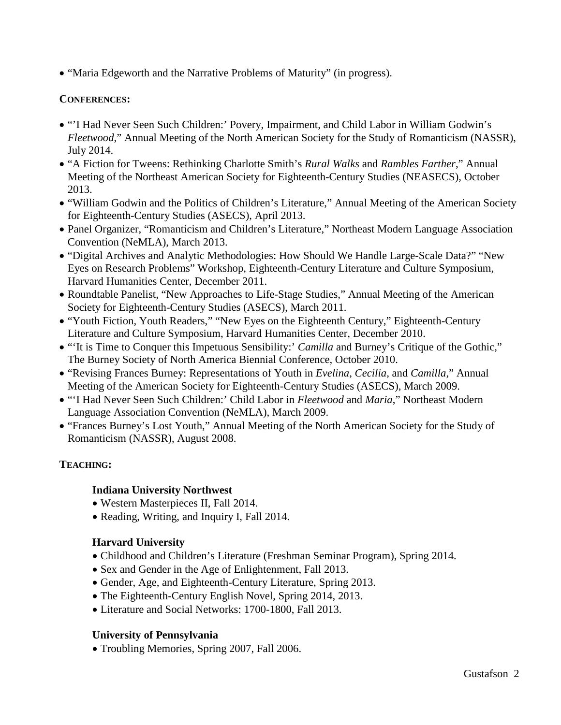• "Maria Edgeworth and the Narrative Problems of Maturity" (in progress).

### **CONFERENCES:**

- "'I Had Never Seen Such Children:' Povery, Impairment, and Child Labor in William Godwin's *Fleetwood*," Annual Meeting of the North American Society for the Study of Romanticism (NASSR), July 2014.
- "A Fiction for Tweens: Rethinking Charlotte Smith's *Rural Walks* and *Rambles Farther*," Annual Meeting of the Northeast American Society for Eighteenth-Century Studies (NEASECS), October 2013.
- "William Godwin and the Politics of Children's Literature," Annual Meeting of the American Society for Eighteenth-Century Studies (ASECS), April 2013.
- Panel Organizer, "Romanticism and Children's Literature," Northeast Modern Language Association Convention (NeMLA), March 2013.
- "Digital Archives and Analytic Methodologies: How Should We Handle Large-Scale Data?" "New Eyes on Research Problems" Workshop, Eighteenth-Century Literature and Culture Symposium, Harvard Humanities Center, December 2011.
- Roundtable Panelist, "New Approaches to Life-Stage Studies," Annual Meeting of the American Society for Eighteenth-Century Studies (ASECS), March 2011.
- "Youth Fiction, Youth Readers," "New Eyes on the Eighteenth Century," Eighteenth-Century Literature and Culture Symposium, Harvard Humanities Center, December 2010.
- "'It is Time to Conquer this Impetuous Sensibility:' *Camilla* and Burney's Critique of the Gothic," The Burney Society of North America Biennial Conference, October 2010.
- "Revising Frances Burney: Representations of Youth in *Evelina*, *Cecilia*, and *Camilla*," Annual Meeting of the American Society for Eighteenth-Century Studies (ASECS), March 2009.
- "'I Had Never Seen Such Children:' Child Labor in *Fleetwood* and *Maria*," Northeast Modern Language Association Convention (NeMLA), March 2009.
- "Frances Burney's Lost Youth," Annual Meeting of the North American Society for the Study of Romanticism (NASSR), August 2008.

# **TEACHING:**

# **Indiana University Northwest**

- Western Masterpieces II, Fall 2014.
- Reading, Writing, and Inquiry I, Fall 2014.

# **Harvard University**

- Childhood and Children's Literature (Freshman Seminar Program), Spring 2014.
- Sex and Gender in the Age of Enlightenment, Fall 2013.
- Gender, Age, and Eighteenth-Century Literature, Spring 2013.
- The Eighteenth-Century English Novel, Spring 2014, 2013.
- Literature and Social Networks: 1700-1800, Fall 2013.

# **University of Pennsylvania**

• Troubling Memories, Spring 2007, Fall 2006.